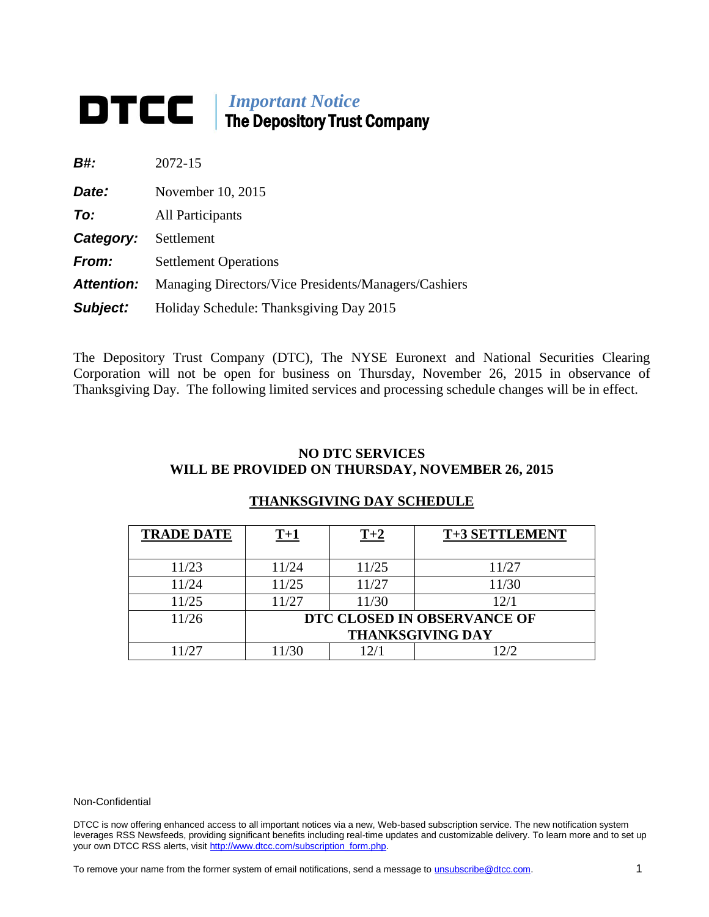# *Important Notice* **The Depository Trust Company**

| B#:               | 2072-15                                              |
|-------------------|------------------------------------------------------|
| Date:             | November 10, 2015                                    |
| To:               | All Participants                                     |
| Category:         | Settlement                                           |
| From:             | <b>Settlement Operations</b>                         |
| <b>Attention:</b> | Managing Directors/Vice Presidents/Managers/Cashiers |
| Subject:          | Holiday Schedule: Thanksgiving Day 2015              |

The Depository Trust Company (DTC), The NYSE Euronext and National Securities Clearing Corporation will not be open for business on Thursday, November 26, 2015 in observance of Thanksgiving Day. The following limited services and processing schedule changes will be in effect.

## **NO DTC SERVICES WILL BE PROVIDED ON THURSDAY, NOVEMBER 26, 2015**

# **THANKSGIVING DAY SCHEDULE**

| <b>TRADE DATE</b> | $T+1$                       | $T+2$ | T+3 SETTLEMENT |
|-------------------|-----------------------------|-------|----------------|
| 11/23             | 11/24                       | 11/25 | 11/27          |
| 11/24             | 11/25                       | 11/27 | 11/30          |
| 11/25             | 11/27                       | 11/30 | 12/1           |
| 11/26             | DTC CLOSED IN OBSERVANCE OF |       |                |
|                   | <b>THANKSGIVING DAY</b>     |       |                |
| 1/27              | 1/30                        |       |                |

#### Non-Confidential

DTCC is now offering enhanced access to all important notices via a new, Web-based subscription service. The new notification system leverages RSS Newsfeeds, providing significant benefits including real-time updates and customizable delivery. To learn more and to set up your own DTCC RSS alerts, visit [http://www.dtcc.com/subscription\\_form.php.](http://www.dtcc.com/subscription_form.php)

To remove your name from the former system of email notifications, send a message to *unsubscribe@dtcc.com*. 1